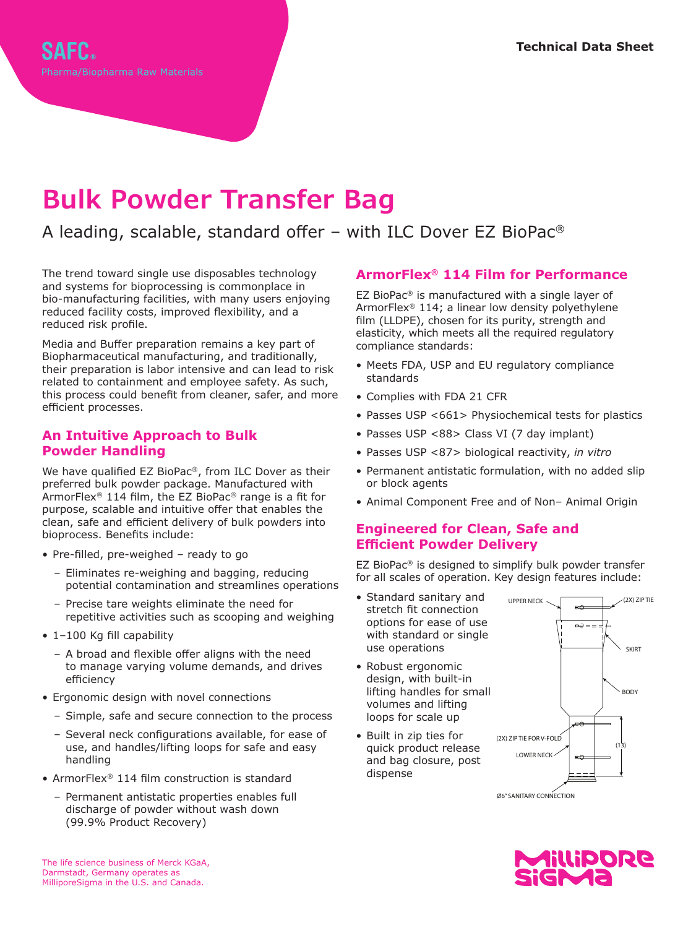# **Bulk Powder Transfer Bag**

## A leading, scalable, standard offer – with ILC Dover EZ BioPac<sup>®</sup>

The trend toward single use disposables technology and systems for bioprocessing is commonplace in bio-manufacturing facilities, with many users enjoying reduced facility costs, improved flexibility, and a reduced risk profile.

Media and Buffer preparation remains a key part of Biopharmaceutical manufacturing, and traditionally, their preparation is labor intensive and can lead to risk related to containment and employee safety. As such, this process could benefit from cleaner, safer, and more efficient processes.

#### **An Intuitive Approach to Bulk Powder Handling**

We have qualified EZ BioPac®, from ILC Dover as their preferred bulk powder package. Manufactured with ArmorFlex® 114 film, the EZ BioPac® range is a fit for purpose, scalable and intuitive offer that enables the clean, safe and efficient delivery of bulk powders into bioprocess. Benefits include:

- Pre-filled, pre-weighed ready to go
	- Eliminates re-weighing and bagging, reducing potential contamination and streamlines operations
	- Precise tare weights eliminate the need for repetitive activities such as scooping and weighing
- 1-100 Kg fill capability
	- A broad and flexible offer aligns with the need to manage varying volume demands, and drives efficiency
- Ergonomic design with novel connections
	- Simple, safe and secure connection to the process
	- Several neck configurations available, for ease of use, and handles/lifting loops for safe and easy handling
- ArmorFlex® 114 film construction is standard
	- Permanent antistatic properties enables full discharge of powder without wash down (99.9% Product Recovery)

## **ArmorFlex® 114 Film for Performance**

EZ BioPac® is manufactured with a single layer of ArmorFlex® 114; a linear low density polyethylene film (LLDPE), chosen for its purity, strength and elasticity, which meets all the required regulatory compliance standards:

- Meets FDA, USP and EU regulatory compliance standards
- Complies with FDA 21 CFR
- Passes USP <661> Physiochemical tests for plastics
- Passes USP <88> Class VI (7 day implant)
- Passes USP <87> biological reactivity, *in vitro*
- Permanent antistatic formulation, with no added slip or block agents
- Animal Component Free and of Non– Animal Origin

### **Engineered for Clean, Safe and Efficient Powder Delivery**

EZ BioPac® is designed to simplify bulk powder transfer for all scales of operation. Key design features include:

- Standard sanitary and stretch fit connection options for ease of use with standard or single use operations
- Robust ergonomic design, with built-in lifting handles for small volumes and lifting loops for scale up
- Built in zip ties for quick product release and bag closure, post dispense